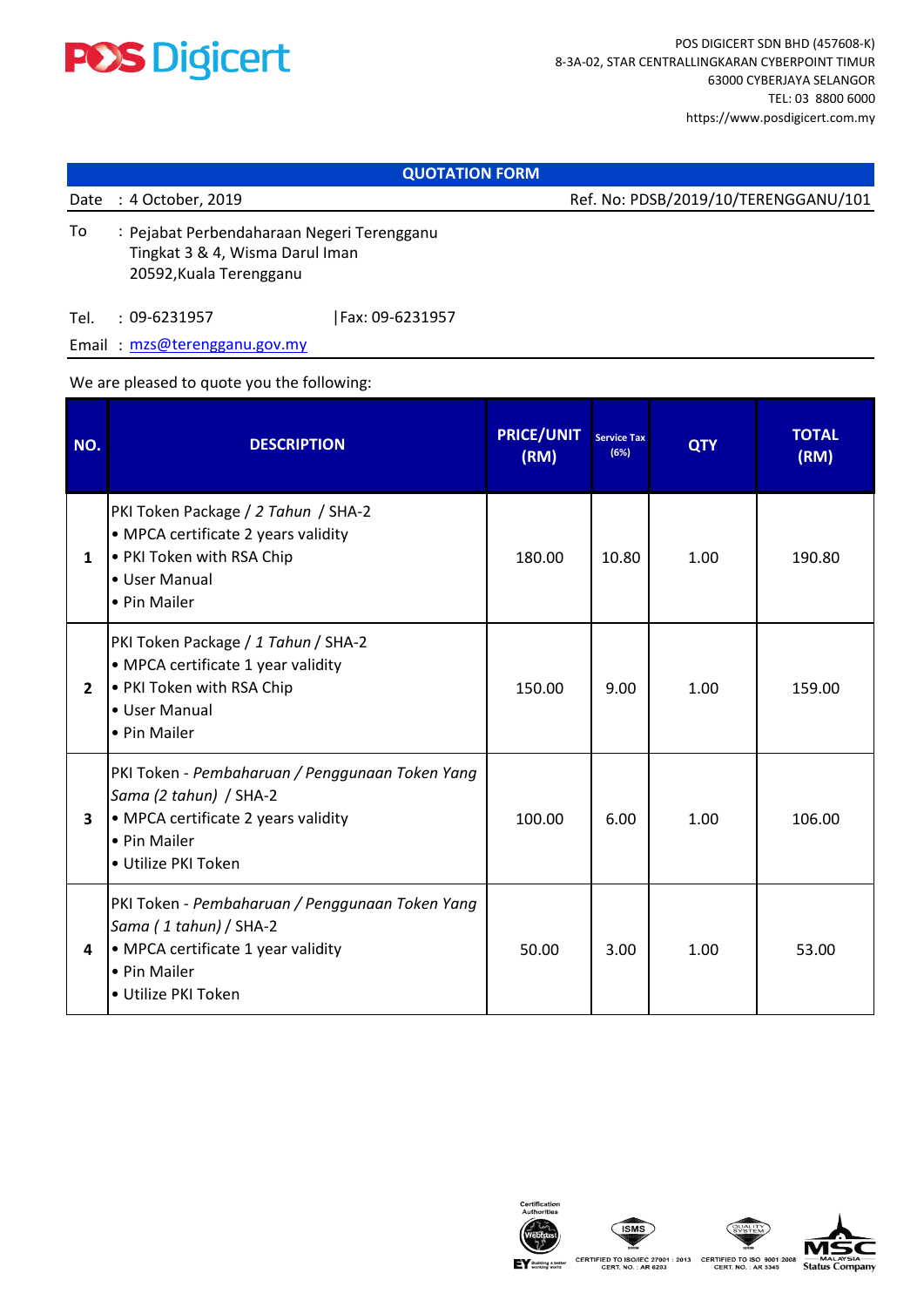

## **QUOTATION FORM**

Date : 4 October, 2019

Ref. No: PDSB/2019/10/TERENGGANU/101

To 20592,Kuala Terengganu Pejabat Perbendaharaan Negeri Terengganu Tingkat 3 & 4, Wisma Darul Iman

Tel. : 09-6231957 09-6231957 |Fax: 09-6231957

Email : mzs@terengganu.gov.my

## We are pleased to quote you the following:

| NO.            | <b>DESCRIPTION</b>                                                                                                                                      | <b>PRICE/UNIT</b><br>(RM) | <b>Service Tax</b><br>(6%) | <b>QTY</b> | <b>TOTAL</b><br>(RM) |
|----------------|---------------------------------------------------------------------------------------------------------------------------------------------------------|---------------------------|----------------------------|------------|----------------------|
| $\mathbf{1}$   | PKI Token Package / 2 Tahun / SHA-2<br>• MPCA certificate 2 years validity<br>. PKI Token with RSA Chip<br>• User Manual<br>• Pin Mailer                | 180.00                    | 10.80                      | 1.00       | 190.80               |
| $\overline{2}$ | PKI Token Package / 1 Tahun / SHA-2<br>• MPCA certificate 1 year validity<br>• PKI Token with RSA Chip<br>• User Manual<br>• Pin Mailer                 | 150.00                    | 9.00                       | 1.00       | 159.00               |
| 3              | PKI Token - Pembaharuan / Penggunaan Token Yang<br>Sama (2 tahun) / SHA-2<br>• MPCA certificate 2 years validity<br>• Pin Mailer<br>• Utilize PKI Token | 100.00                    | 6.00                       | 1.00       | 106.00               |
| 4              | PKI Token - Pembaharuan / Penggunaan Token Yang<br>Sama (1 tahun) / SHA-2<br>• MPCA certificate 1 year validity<br>• Pin Mailer<br>• Utilize PKI Token  | 50.00                     | 3.00                       | 1.00       | 53.00                |







CERTIFIED TO ISO/IEC 27001 : 2013 CERTIFIED TO ISO 9001:2008<br>CERT. NO. : AR 6203 CERT. NO. : AR 5345